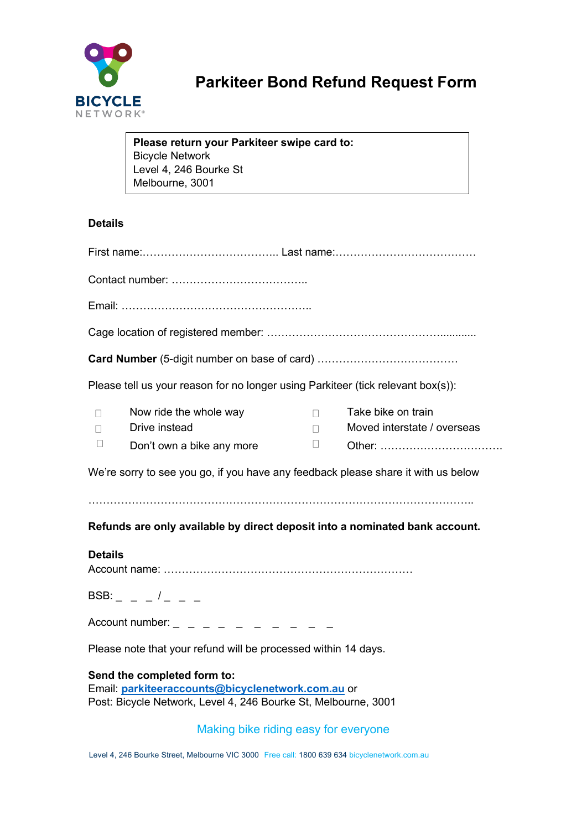

# **Parkiteer Bond Refund Request Form**

|                                                                                                                                                                  | Please return your Parkiteer swipe card to:<br><b>Bicycle Network</b><br>Level 4, 246 Bourke St<br>Melbourne, 3001 |                    |                                                   |  |
|------------------------------------------------------------------------------------------------------------------------------------------------------------------|--------------------------------------------------------------------------------------------------------------------|--------------------|---------------------------------------------------|--|
| <b>Details</b>                                                                                                                                                   |                                                                                                                    |                    |                                                   |  |
|                                                                                                                                                                  |                                                                                                                    |                    |                                                   |  |
|                                                                                                                                                                  |                                                                                                                    |                    |                                                   |  |
|                                                                                                                                                                  |                                                                                                                    |                    |                                                   |  |
|                                                                                                                                                                  |                                                                                                                    |                    |                                                   |  |
|                                                                                                                                                                  |                                                                                                                    |                    |                                                   |  |
| Please tell us your reason for no longer using Parkiteer (tick relevant box(s)):                                                                                 |                                                                                                                    |                    |                                                   |  |
| $\mathbf{L}$                                                                                                                                                     | Now ride the whole way<br>Drive instead                                                                            | П.<br>$\mathbf{L}$ | Take bike on train<br>Moved interstate / overseas |  |
| $\Box$                                                                                                                                                           | Don't own a bike any more                                                                                          | Ш                  |                                                   |  |
| We're sorry to see you go, if you have any feedback please share it with us below<br>Refunds are only available by direct deposit into a nominated bank account. |                                                                                                                    |                    |                                                   |  |
| <b>Details</b>                                                                                                                                                   |                                                                                                                    |                    |                                                   |  |
| BSB: $-     -$                                                                                                                                                   |                                                                                                                    |                    |                                                   |  |
| Account number: $-$ - - - - - - - -                                                                                                                              |                                                                                                                    |                    |                                                   |  |
| Please note that your refund will be processed within 14 days.                                                                                                   |                                                                                                                    |                    |                                                   |  |
| Send the completed form to:<br>Email: parkiteeraccounts@bicyclenetwork.com.au or<br>Post: Bicycle Network, Level 4, 246 Bourke St, Melbourne, 3001               |                                                                                                                    |                    |                                                   |  |
| Making bike riding easy for everyone                                                                                                                             |                                                                                                                    |                    |                                                   |  |

Level 4, 246 Bourke Street, Melbourne VIC 3000 Free call: 1800 639 634 bicyclenetwork.com.au